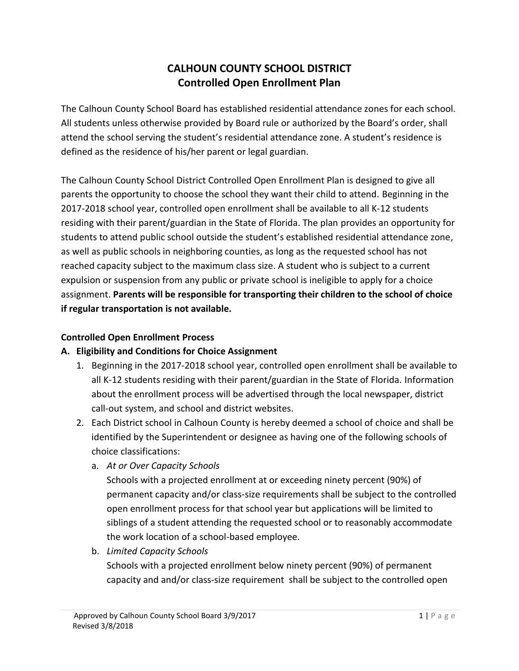# **CALHOUN COUNTY SCHOOL DISTRICT Controlled Open Enrollment Plan**

The Calhoun County School Board has established residential attendance zones for each school. All students unless otherwise provided by Board rule or authorized by the Board's order, shall attend the school serving the student's residential attendance zone. A student's residence is defined as the residence of his/her parent or legal guardian.

The Calhoun County School District Controlled Open Enrollment Plan is designed to give all parents the opportunity to choose the school they want their child to attend. Beginning in the 2017-2018 school year, controlled open enrollment shall be available to all K-12 students residing with their parent/guardian in the State of Florida. The plan provides an opportunity for students to attend public school outside the student's established residential attendance zone, as well as public schools in neighboring counties, as long as the requested school has not reached capacity subject to the maximum class size. A student who is subject to a current expulsion or suspension from any public or private school is ineligible to apply for a choice assignment. **Parents will be responsible for transporting their children to the school of choice if regular transportation is not available.**

#### **Controlled Open Enrollment Process**

#### **A. Eligibility and Conditions for Choice Assignment**

- 1. Beginning in the 2017-2018 school year, controlled open enrollment shall be available to all K-12 students residing with their parent/guardian in the State of Florida. Information about the enrollment process will be advertised through the local newspaper, district call-out system, and school and district websites.
- 2. Each District school in Calhoun County is hereby deemed a school of choice and shall be identified by the Superintendent or designee as having one of the following schools of choice classifications:
	- a. *At or Over Capacity Schools*

Schools with a projected enrollment at or exceeding ninety percent (90%) of permanent capacity and/or class-size requirements shall be subject to the controlled open enrollment process for that school year but applications will be limited to siblings of a student attending the requested school or to reasonably accommodate the work location of a school-based employee.

b. *Limited Capacity Schools*

Schools with a projected enrollment below ninety percent (90%) of permanent capacity and and/or class-size requirement shall be subject to the controlled open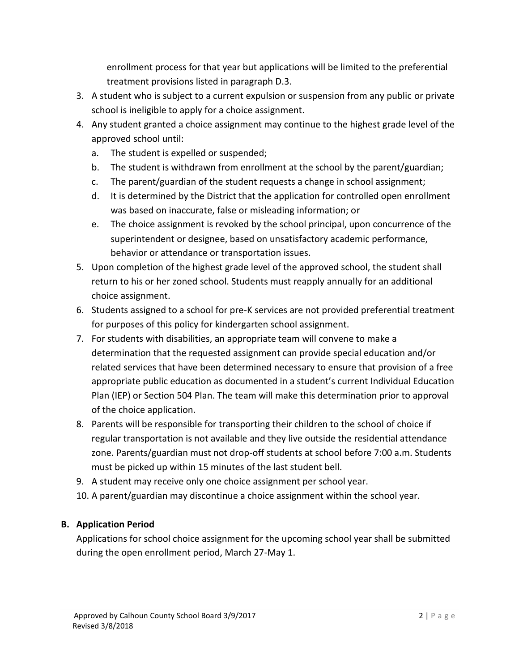enrollment process for that year but applications will be limited to the preferential treatment provisions listed in paragraph D.3.

- 3. A student who is subject to a current expulsion or suspension from any public or private school is ineligible to apply for a choice assignment.
- 4. Any student granted a choice assignment may continue to the highest grade level of the approved school until:
	- a. The student is expelled or suspended;
	- b. The student is withdrawn from enrollment at the school by the parent/guardian;
	- c. The parent/guardian of the student requests a change in school assignment;
	- d. It is determined by the District that the application for controlled open enrollment was based on inaccurate, false or misleading information; or
	- e. The choice assignment is revoked by the school principal, upon concurrence of the superintendent or designee, based on unsatisfactory academic performance, behavior or attendance or transportation issues.
- 5. Upon completion of the highest grade level of the approved school, the student shall return to his or her zoned school. Students must reapply annually for an additional choice assignment.
- 6. Students assigned to a school for pre-K services are not provided preferential treatment for purposes of this policy for kindergarten school assignment.
- 7. For students with disabilities, an appropriate team will convene to make a determination that the requested assignment can provide special education and/or related services that have been determined necessary to ensure that provision of a free appropriate public education as documented in a student's current Individual Education Plan (IEP) or Section 504 Plan. The team will make this determination prior to approval of the choice application.
- 8. Parents will be responsible for transporting their children to the school of choice if regular transportation is not available and they live outside the residential attendance zone. Parents/guardian must not drop-off students at school before 7:00 a.m. Students must be picked up within 15 minutes of the last student bell.
- 9. A student may receive only one choice assignment per school year.
- 10. A parent/guardian may discontinue a choice assignment within the school year.

## **B. Application Period**

Applications for school choice assignment for the upcoming school year shall be submitted during the open enrollment period, March 27-May 1.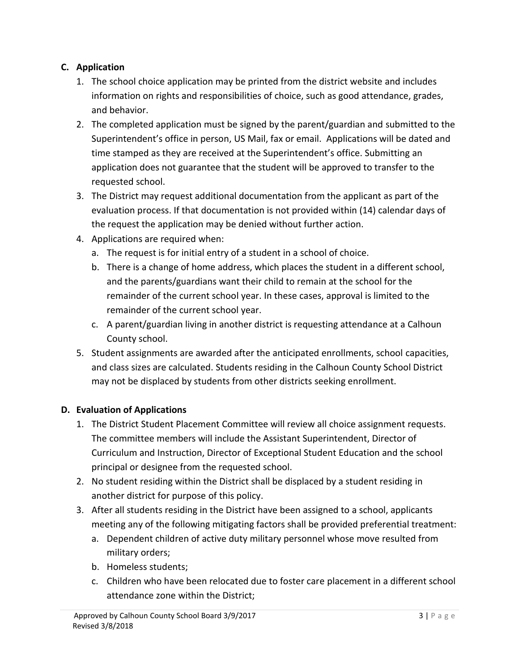# **C. Application**

- 1. The school choice application may be printed from the district website and includes information on rights and responsibilities of choice, such as good attendance, grades, and behavior.
- 2. The completed application must be signed by the parent/guardian and submitted to the Superintendent's office in person, US Mail, fax or email. Applications will be dated and time stamped as they are received at the Superintendent's office. Submitting an application does not guarantee that the student will be approved to transfer to the requested school.
- 3. The District may request additional documentation from the applicant as part of the evaluation process. If that documentation is not provided within (14) calendar days of the request the application may be denied without further action.
- 4. Applications are required when:
	- a. The request is for initial entry of a student in a school of choice.
	- b. There is a change of home address, which places the student in a different school, and the parents/guardians want their child to remain at the school for the remainder of the current school year. In these cases, approval is limited to the remainder of the current school year.
	- c. A parent/guardian living in another district is requesting attendance at a Calhoun County school.
- 5. Student assignments are awarded after the anticipated enrollments, school capacities, and class sizes are calculated. Students residing in the Calhoun County School District may not be displaced by students from other districts seeking enrollment.

## **D. Evaluation of Applications**

- 1. The District Student Placement Committee will review all choice assignment requests. The committee members will include the Assistant Superintendent, Director of Curriculum and Instruction, Director of Exceptional Student Education and the school principal or designee from the requested school.
- 2. No student residing within the District shall be displaced by a student residing in another district for purpose of this policy.
- 3. After all students residing in the District have been assigned to a school, applicants meeting any of the following mitigating factors shall be provided preferential treatment:
	- a. Dependent children of active duty military personnel whose move resulted from military orders;
	- b. Homeless students;
	- c. Children who have been relocated due to foster care placement in a different school attendance zone within the District;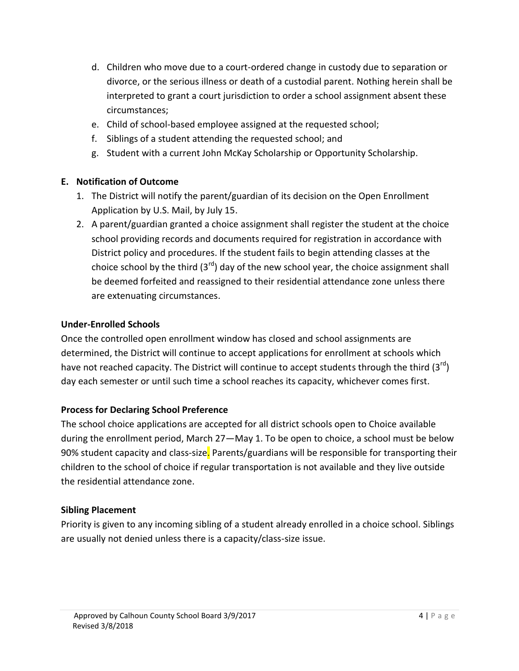- d. Children who move due to a court-ordered change in custody due to separation or divorce, or the serious illness or death of a custodial parent. Nothing herein shall be interpreted to grant a court jurisdiction to order a school assignment absent these circumstances;
- e. Child of school-based employee assigned at the requested school;
- f. Siblings of a student attending the requested school; and
- g. Student with a current John McKay Scholarship or Opportunity Scholarship.

## **E. Notification of Outcome**

- 1. The District will notify the parent/guardian of its decision on the Open Enrollment Application by U.S. Mail, by July 15.
- 2. A parent/guardian granted a choice assignment shall register the student at the choice school providing records and documents required for registration in accordance with District policy and procedures. If the student fails to begin attending classes at the choice school by the third  $(3^{rd})$  day of the new school year, the choice assignment shall be deemed forfeited and reassigned to their residential attendance zone unless there are extenuating circumstances.

## **Under-Enrolled Schools**

Once the controlled open enrollment window has closed and school assignments are determined, the District will continue to accept applications for enrollment at schools which have not reached capacity. The District will continue to accept students through the third  $(3^{rd})$ day each semester or until such time a school reaches its capacity, whichever comes first.

## **Process for Declaring School Preference**

The school choice applications are accepted for all district schools open to Choice available during the enrollment period, March 27—May 1. To be open to choice, a school must be below 90% student capacity and class-size. Parents/guardians will be responsible for transporting their children to the school of choice if regular transportation is not available and they live outside the residential attendance zone.

## **Sibling Placement**

Priority is given to any incoming sibling of a student already enrolled in a choice school. Siblings are usually not denied unless there is a capacity/class-size issue.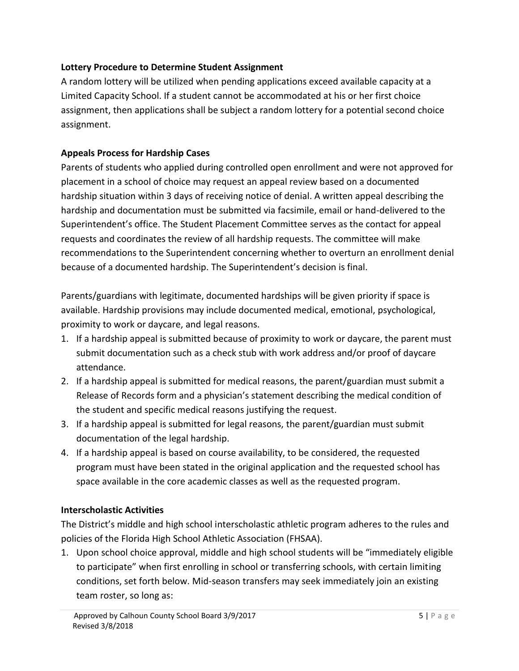## **Lottery Procedure to Determine Student Assignment**

A random lottery will be utilized when pending applications exceed available capacity at a Limited Capacity School. If a student cannot be accommodated at his or her first choice assignment, then applications shall be subject a random lottery for a potential second choice assignment.

## **Appeals Process for Hardship Cases**

Parents of students who applied during controlled open enrollment and were not approved for placement in a school of choice may request an appeal review based on a documented hardship situation within 3 days of receiving notice of denial. A written appeal describing the hardship and documentation must be submitted via facsimile, email or hand-delivered to the Superintendent's office. The Student Placement Committee serves as the contact for appeal requests and coordinates the review of all hardship requests. The committee will make recommendations to the Superintendent concerning whether to overturn an enrollment denial because of a documented hardship. The Superintendent's decision is final.

Parents/guardians with legitimate, documented hardships will be given priority if space is available. Hardship provisions may include documented medical, emotional, psychological, proximity to work or daycare, and legal reasons.

- 1. If a hardship appeal is submitted because of proximity to work or daycare, the parent must submit documentation such as a check stub with work address and/or proof of daycare attendance.
- 2. If a hardship appeal is submitted for medical reasons, the parent/guardian must submit a Release of Records form and a physician's statement describing the medical condition of the student and specific medical reasons justifying the request.
- 3. If a hardship appeal is submitted for legal reasons, the parent/guardian must submit documentation of the legal hardship.
- 4. If a hardship appeal is based on course availability, to be considered, the requested program must have been stated in the original application and the requested school has space available in the core academic classes as well as the requested program.

## **Interscholastic Activities**

The District's middle and high school interscholastic athletic program adheres to the rules and policies of the Florida High School Athletic Association (FHSAA).

1. Upon school choice approval, middle and high school students will be "immediately eligible to participate" when first enrolling in school or transferring schools, with certain limiting conditions, set forth below. Mid-season transfers may seek immediately join an existing team roster, so long as: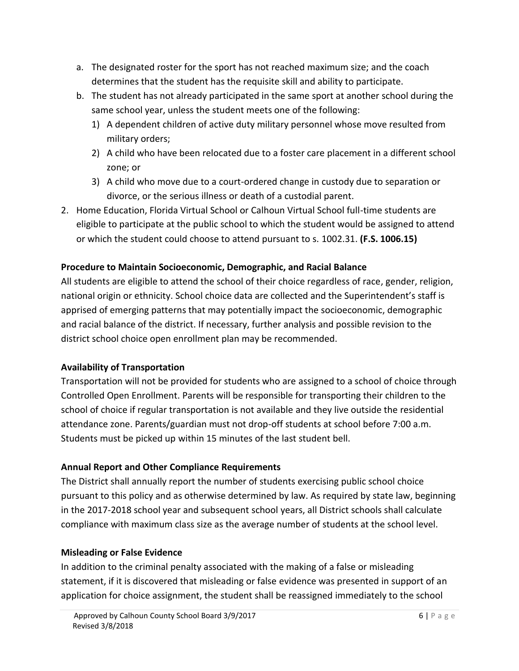- a. The designated roster for the sport has not reached maximum size; and the coach determines that the student has the requisite skill and ability to participate.
- b. The student has not already participated in the same sport at another school during the same school year, unless the student meets one of the following:
	- 1) A dependent children of active duty military personnel whose move resulted from military orders;
	- 2) A child who have been relocated due to a foster care placement in a different school zone; or
	- 3) A child who move due to a court-ordered change in custody due to separation or divorce, or the serious illness or death of a custodial parent.
- 2. Home Education, Florida Virtual School or Calhoun Virtual School full-time students are eligible to participate at the public school to which the student would be assigned to attend or which the student could choose to attend pursuant to s. [1002.31.](http://www.leg.state.fl.us/statutes/index.cfm?App_mode=Display_Statute&Search_String=&URL=1000-1099/1002/Sections/1002.31.html) **(F.S. 1006.15)**

## **Procedure to Maintain Socioeconomic, Demographic, and Racial Balance**

All students are eligible to attend the school of their choice regardless of race, gender, religion, national origin or ethnicity. School choice data are collected and the Superintendent's staff is apprised of emerging patterns that may potentially impact the socioeconomic, demographic and racial balance of the district. If necessary, further analysis and possible revision to the district school choice open enrollment plan may be recommended.

## **Availability of Transportation**

Transportation will not be provided for students who are assigned to a school of choice through Controlled Open Enrollment. Parents will be responsible for transporting their children to the school of choice if regular transportation is not available and they live outside the residential attendance zone. Parents/guardian must not drop-off students at school before 7:00 a.m. Students must be picked up within 15 minutes of the last student bell.

## **Annual Report and Other Compliance Requirements**

The District shall annually report the number of students exercising public school choice pursuant to this policy and as otherwise determined by law. As required by state law, beginning in the 2017-2018 school year and subsequent school years, all District schools shall calculate compliance with maximum class size as the average number of students at the school level.

## **Misleading or False Evidence**

In addition to the criminal penalty associated with the making of a false or misleading statement, if it is discovered that misleading or false evidence was presented in support of an application for choice assignment, the student shall be reassigned immediately to the school